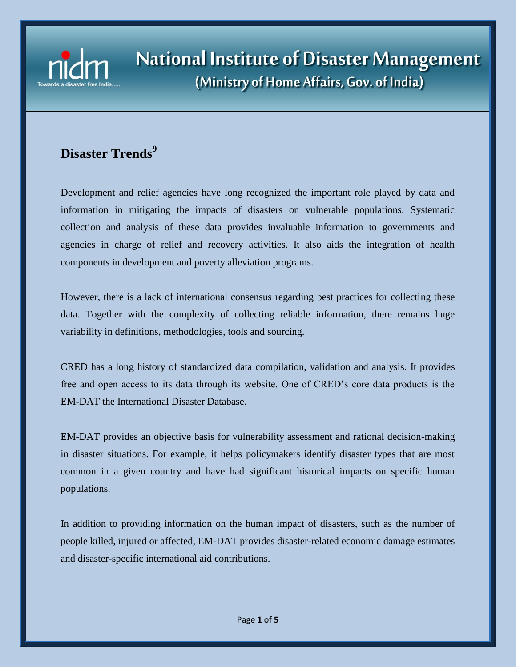

## **National Institute of Disaster Management** (Ministry of Home Affairs, Gov. of India)

## **Disaster Trends 9**

Development and relief agencies have long recognized the important role played by data and information in mitigating the impacts of disasters on vulnerable populations. Systematic collection and analysis of these data provides invaluable information to governments and agencies in charge of relief and recovery activities. It also aids the integration of health components in development and poverty alleviation programs.

However, there is a lack of international consensus regarding best practices for collecting these data. Together with the complexity of collecting reliable information, there remains huge variability in definitions, methodologies, tools and sourcing.

CRED has a long history of standardized data compilation, validation and analysis. It provides free and open access to its data through its website. One of CRED's core data products is the EM-DAT the International Disaster Database.

EM-DAT provides an objective basis for vulnerability assessment and rational decision-making in disaster situations. For example, it helps policymakers identify disaster types that are most common in a given country and have had significant historical impacts on specific human populations.

In addition to providing information on the human impact of disasters, such as the number of people killed, injured or affected, EM-DAT provides disaster-related economic damage estimates and disaster-specific international aid contributions.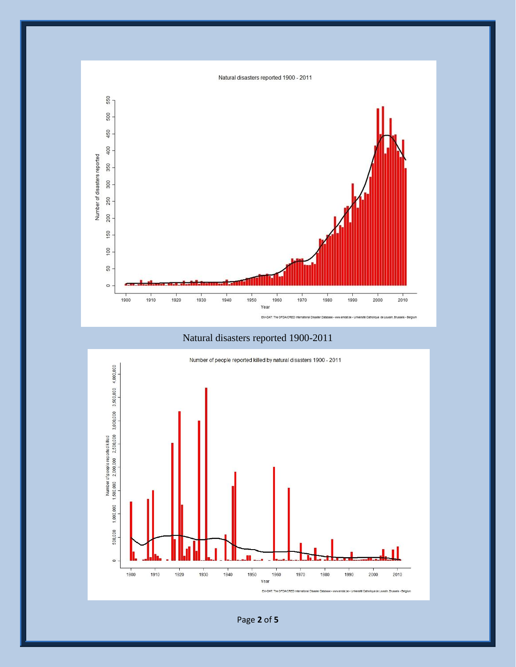



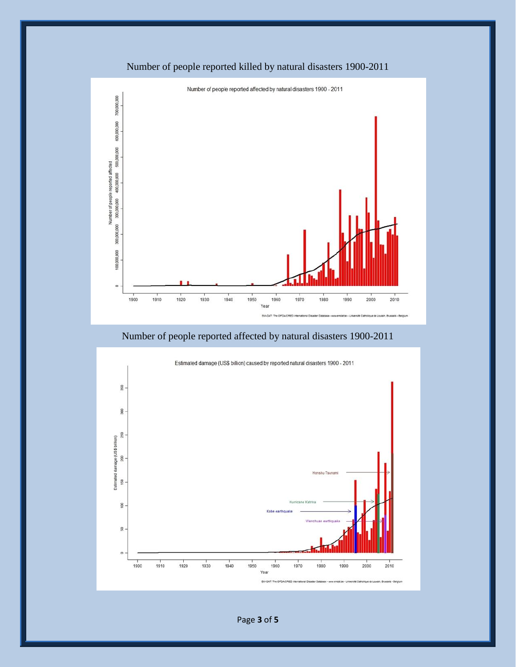

## Number of people reported affected by natural disasters 1900-2011





Page **3** of **5**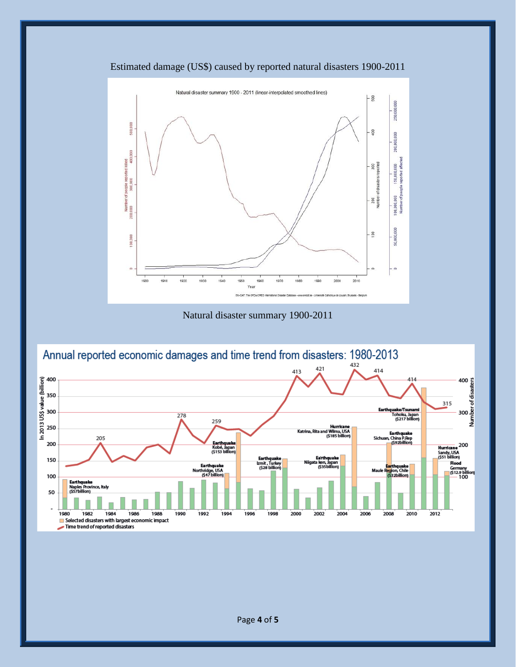

Estimated damage (US\$) caused by reported natural disasters 1900-2011

Natural disaster summary 1900-2011